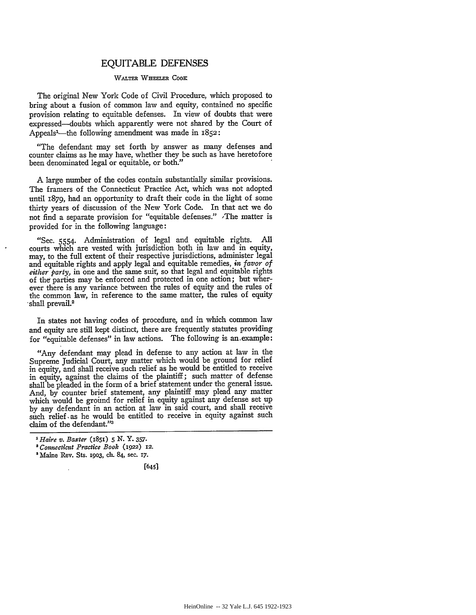## **EQUITABLE DEFENSES**

## **WALTER WHEELER COOK**

The original New York Code of Civil Procedure, which proposed to bring about a fusion of common law and equity, contained no specific provision relating to equitable defenses. In view of doubts that were expressed-doubts which apparently were not shared by the Court of Appeals<sup>1</sup>—the following amendment was made in 1852:

"The defendant may set forth by answer as many defenses and counter claims as he may have, whether they be such as have heretofore been denominated legal or equitable, or both."

A large number of the codes contain substantially similar provisions. The framers of the Connecticut Practice Act, which was not adopted until 1879, had an opportunity to draft their code in the light of some thirty years of discussion of the New York Code. In that act we do not find a separate provision for "equitable defenses." ,The matter is provided for in the following language:

"Sec. 5554. Administration of legal and equitable rights. All courts which are vested with jurisdiction both in law and in equity, may, to the full extent of their respective jurisdictions, administer legal and equitable rights and apply legal and equitable remedies, *in favor of either party,* in one and the same suit, so that legal and equitable rights of the parties may be enforced and protected in one action; but wherever there is any variance between the rules of equity and the rules of the common law, in reference to the same matter, the rules of equity shall prevail.<sup>2</sup>

In states not having codes of procedure, and in which common law and equity are still kept distinct, there are frequently statutes providing for "equitable defenses" in law actions. The following is an.example:

"Any defendant may plead in defense to any action at law in the Supreme Judicial Court, any matter which would be ground for relief in equity, and shall receive such relief as he would be entitled to receive in equity, against the claims of the plaintiff; such matter of defense shall be pleaded in the form of a brief statement under the general issue. And, by counter brief statement, any plaintiff may plead any matter which would be groind for relief in equity against any defense set up by any defendant in an action at law in said court, and shall receive such relief as he would be entitled to receive in equity against such claim of the defendant."<sup>3</sup>

*<sup>1</sup>Haire v. Baxter (,851) 5* **N.** Y. 357.

*<sup>&#</sup>x27;Conjecticut Practice Book* **(ig2z) 12.**

<sup>&#</sup>x27;Maine Rev. Sts. **i9o3,** cI. 84, sec. **17.**

<sup>[6451</sup>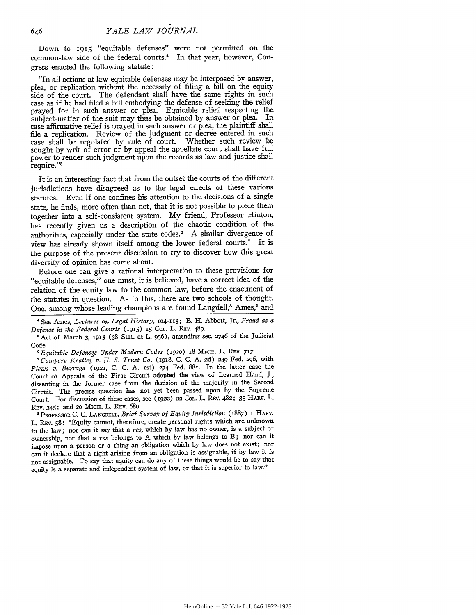Down to 1915 "equitable defenses" were not permitted on the common-law side of the federal courts.<sup>4</sup> In that year, however, Congress enacted the following statute:

"In all actions at law equitable defenses may be interposed by answer, plea, or replication without the necessity of filing a bill on the equity side of the court. The defendant shall have the same rights in such case as if he had filed a bill embodying the defense of seeking the relief prayed for in such answer or plea. Equitable relief respecting the subject-matter of the suit may thus be obtained by answer or plea. In case affirmative relief is prayed in such answer or plea, the plaintiff shall file a replication. Review of the judgment or decree entered in such case shall be regulated by rule of court. Whether such review be sought by writ of error or by appeal the appellate court shall have full power to render such judgment upon the records as law and justice shall require."<sup>5</sup>

It is an interesting fact that from the outset the courts of the different jurisdictions have disagreed as to the legal effects of these various statutes. Even if one confines his attention to the decisions of a single state, he finds, more often than not, that it is not possible to piece them together into a self-consistent system. My friend, Professor Hinton, has recently given us a description of the chaotic condition of the authorities, especially under the state codes.6 A similar divergence of view has already shown itself among the lower federal courts.7 It is the purpose of the present discussion to try to discover how this great diversity of opinion has come about.

Before one can give a rational interpretation to these provisions for "equitable defenses," one must, it is believed, have a correct idea of the relation of the equity law to the common law, before the enactment of the statutes in question. As to this, there are two schools of thought. One, among whose leading champions are found Langdell,<sup>8</sup> Ames,<sup>9</sup> and

' See Ames, *Lectures on Legal History,* 104-115; **E.** H. Abbott, Jr., *Fraud as a Defese in the Federal Courts* (1915) 15 COL. L. REv. 489.

'Act of March 3, 1915 (38 Stat. at L. **956),** amending sec. 2746 of the Judicial Code.

*'Equitable Defewes Under Modern Codes* (192o) 18 MICH. L. REv. 717.

*Compare Keatley v. U. S. Trust Co.* (1gi8, C. C. A. **2d)** 249 Fed. **296,** with *Plews v. Burrage* (1921, C. C. A. Ist) 274 Fed. 881. In the latter case the Court of Appeals of the First Circuit adopted the view of Learned Hand, **J.,** dissenting in the former case from the decision of the majority in the Second Circuit. The precise question has not yet been passed upon by the Supreme Court. For discussion of these cases, see (1922) 22 Col. L. REv. 482; 35 HARV. L. REV. 345; and 20 MICH. L. REv. 68o.

**8** PROFESSOR **C. C.** LANGDELL, *Brief Survey of Equity Jurisdiction* (1887) I HARv. L. REv. **58:** "Equity cannot, therefore, create personal rights which are unknown to the law; nor can it say that a *res,* which **by** law has no owner, is a subject of ownership, nor that a res belongs to A which **by** law belongs to B; nor can it impose upon a person or a thing an obligation which **by** law does not exist; nor can it declare that a right arising from an obligation is assignable, if **by** law it is not assignable. To say that equity can do any of these things would be to say that equity is a separate and independent system of law, or that it is superior to law."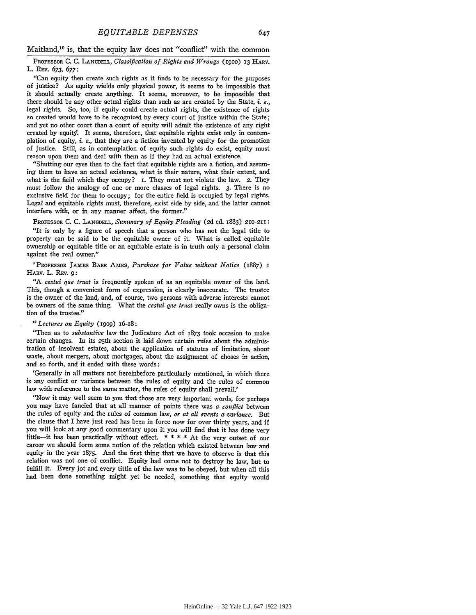Maitland,<sup>10</sup> is, that the equity law does not "conflict" with the common

PROFESSOR C. **C. LANGDELL,** *Classification of Rights and Wrongs* (1goo) 13 **HARV.** L. **REv.** 673, *677:*

"Can equity then create such rights as it finds to be necessary for the purposes of justice? As equity wields only physical power, it seems to be impossible that it should actually create anything. It seems, moreover, to be impossible that there should be any other actual rights than such as are created by the State, *i. e.,* legal rights. So, too, if equity could create actual rights, the existence of rights so created would have to be recognized by every court of justice within the State; and yet no other court than a court of equity will admit the existence of any right created by equity. It seems, therefore, that equitable rights exist only in contemplation of equity, *i. e.,* that they are a fiction invented by equity for the promotion of justice. Still, as in contemplation of equity such rights do exist, equity must reason upon them and deal with them as if they had an actual existence.

"Shutting our eyes then to the fact that equitable rights are a fiction, and assuming them to have an actual existence, what is their nature, what their extent, and what is the field which they occupy? **i.** They must not violate the law. 2. They must follow the analogy of one or more classes of legal rights. 3. There is no exclusive field for them to occupy; for the entire field is occupied by legal rights. Legal and equitable rights must, therefore, exist side by side, and the latter cannot interfere with, or in any manner affect, the former."

PROFESSOR C. C. **LANGDELL,** *Summary of Equity Pleading* **(2d** ed. 1883) 210-211:

"It is only by a figure of speech that a person who has not the legal title to property can be said to be the equitable owner of it. What is called equitable ownership or equitable title or an equitable estate is in truth only a personal claim against the real owner."

## ' PROFESSOR **JAMES** BARR **AMES,** *Purchase for Value without Notice* (1887) **<sup>I</sup>** HARV. L. Rxv. **9:**

*"A cestui que triust* is frequently spoken of as an equitable owner of the land. This, though a convenient form of expression, is clearly inaccurate. The trustee is the owner of the land, and, of course, two persons with adverse interests cannot be owners of the same thing. What the *cestai que truest* really owns is the obligation of the trustee."

## *" Lectures on Equity* **(19o9)** 16-i8:

"Then as to *substantive* law the Judicature Act of 1873 took occasion to make certain changes. In its 25th section it laid down certain rules about the administration of insolvent estates, about the application of statutes of limitation, about waste, about mergers, about mortgages, about the assignment of choses in action, and so forth, and it ended with these words:

'Generally in all matters not hereinbefore particularly mentioned, in which there is any conflict or variance between the rules of equity and the rules of common law with reference to the same matter, the rules of equity shall prevail.'

"Now it may well seem to you that those are very important words, for perhaps you may have fancied that at all manner of points there was *a conflict* between the rules of equity and the rules of common law, *or at all events a variance.* But the clause that I have just read has been in force now for over thirty years, and if you will look at any good commentary upon it you will find that it has done very little-it has been practically without effect. **\* \* \* \*** At the very outset of our career we should form some notion of the relation which existed between law and equity in the year 1875. And the first thing that we have to observe is that this relation was not one of conflict. Equity had come not to destroy he law, but to fulfill it. Every jot and every tittle of the law was to be obeyed, but when all this had been done something might yet be needed, something that equity would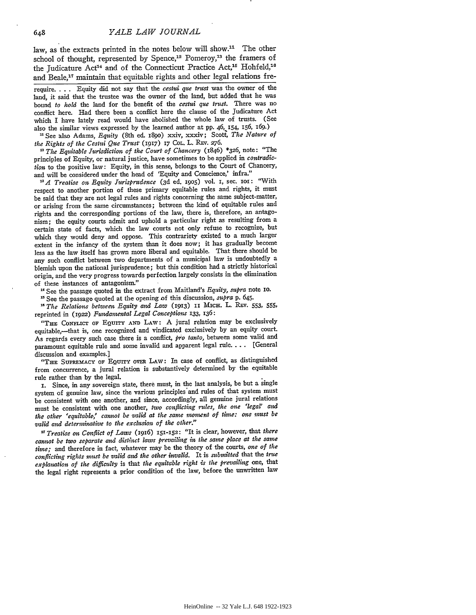law, as the extracts printed in the notes below will show.<sup>11</sup> The other school of thought, represented by Spence,<sup>12</sup> Pomeroy,<sup>13</sup> the framers of the Judicature Act<sup>14</sup> and of the Connecticut Practice Act,<sup>15</sup> Hohfeld,<sup>16</sup> and Beale,<sup>17</sup> maintain that equitable rights and other legal relations fre-

require **....** Equity did not say that the *cestui que* trust was the owner of the land, it said that the trustee was the owner of the land, but added that he was bound *to hold* the land for the benefit of the *cestui que trust.* There was no conflict here. Had there been a conflict here the clause of the Judicature Act which I have lately read would have abolished the whole law of trusts. (See also the similar views expressed by the learned author at pp. 46, 154, 156, 169.)

'See also Adams, *Equity* (8th ed. 189o) xxiv, xxxiv; Scott, *The Nature of the Rights of the Cestui Que Trust,* (1917) 17 **COL.** L. **REv. 276.**

<sup>12</sup> The Equitable Jurisdiction of the Court of Chancery (1846) \*326, note: "The principles of Equity, or natural justice, have sometimes to be applied in *contradiction* to the positive law: Equity, in this sense, belongs to the Court of Chancery, and will be considered under the head of 'Equity and Conscience,' infra."

<sup>13</sup> A Treatise on Equity Jurisprudence (3d ed. 1905) vol. 1, sec. 101: "With respect to another portion of these primary equitable rules and rights, it must be said that they are not legal rules and rights concerning the same subject-matter, or arising from the same circumstances; between the kind of equitable rules and rights and the corresponding portions of the law, there is, therefore, an antagonism; the equity courts admit and uphold a particular right as resulting from a certain state of facts, which the law courts not only refuse to recognize, but which they would deny and oppose. This contrariety existed to a much larger extent in the infancy of the system than it does now; it has gradually become less as the law itself has grown more liberal and equitable. That there should be any such conflict between two departments of a municipal law is undoubtedly a blemish upon the national jurisprudence; but this condition had a strictly historical origin, and the very progress towards perfection largely consists in the elimination of these instances of antagonism."

**<sup>1</sup>**See the passage quoted in the extract from Maitland's *Equity, supra* note **1o.**

<sup>15</sup> See the passage quoted at the opening of this discussion, *supra* p. 645.

*<sup>18</sup>The Relations between Equity and Law* (1913) 11 MIcH. L. **REV.** 553, 555, reprinted in (1922) *Fundamental Legal Conceptions* 133, 136:

**"THE** CoNFLICr OF EQUITY **AND** LAw: A jural relation may be exclusively equitable,-that is, one recognized and vindicated exclusively by an equity court. As regards every such case there is a conflict, *pro tanto,* between some valid and paramount equitable rule and some invalid and apparent legal rule.... [General discussion and examples.]

"THE SUPREMACY OF EQUITY ovER LAW: In case of conflict, as distinguished from concurrence, a jural relation is substantively determined by the equitable rule rather than by the legal.

**I.** Since, in any sovereign state, there must, in the last analysis, be but a single system of genuine law, since the various principles'and rules of that system must be consistent with one another, and since, accordingly, all genuine jural relations must be consistent with one another, *two conflicting rules, the one 'legal' and the other 'equitable,' cannot be valid at the same moment of time: one mnst be valid and determinative to the exclusion of the other."*

<sup>17</sup> *Treatise on Conflict of Laws* (1916) 151-152: "It is clear, however, that there *cannot be two separate and distinct laws prevailing in the same place ctt the same time;* and therefore in fact, whatever may be the theory of the courts, *one of the conflicting rights inust be valid and the other invalid.* It is *submitted* that the *true explanation of the difficulty* is that *the equitable right is the prevailing* one, that the legal right represents a prior condition of the law, before the unwritten law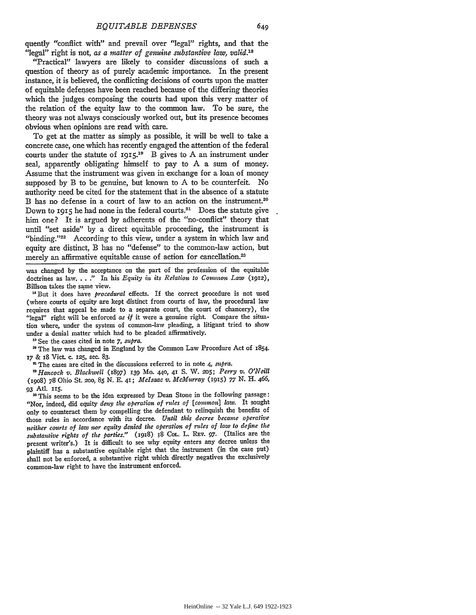quently "conflict with" and prevail over "legal" rights, and that the "legal" right is not, *as a matter of genuine substantive law, valid.'8*

"Practical" lawyers are likely to consider discussions of such a question of theory as of purely academic importance. In the present instance, it is believed, the conflicting decisions of courts upon the matter of equitable defenses have been reached because of the differing theories which the judges composing the courts had upon this very matter of the relation of the equity law to the common law. To be sure, the theory was not always consciously worked out, but its presence becomes obvious when opinions are read with care.

To get at the matter as simply as possible, it will be well to take a concrete case, one which has recently engaged the attention of the federal courts under the statute of  $1915$ .<sup>10</sup> B gives to A an instrument under seal, apparently obligating himself to pay to A a sum of money. Assume that the instrument was given in exchange for a loan of money supposed by B to be genuine, but known to A to be counterfeit. No authority need be cited for the statement that in the absence of a statute B has no defense in a court of law to an action on the instrument.<sup>20</sup> Down to 1915 he had none in the federal courts.<sup>21</sup> Does the statute give him one? It is argued by adherents of the "no-conflict" theory that until "set aside" by a direct equitable proceeding, the instrument is "binding." $22$  According to this view, under a system in which law and equity are distinct, B has no "defense" to the common-law action, but merely an affirmative equitable cause of action for cancellation.<sup>23</sup>

was changed by the acceptance on the part of the profession of the equitable doctrines as law. . . **."** In his *Equity in its Relation to Common Law* (1912), Billson takes the same view.

<sup>18</sup> But it does have *procedural* effects. If the correct procedure is not used (where courts of equity are kept distinct from courts of law, the procedural law requires that appeal be made to a separate court, the court of chancery), the "legal" right will be enforced *as if* it were a genuine right. Compare the situation where, under the system of common-law pleading, a litigant tried to show under a denial matter which had to be pleaded affirmatively.

**"'** See the cases cited in note 7, *supra.*

**"'** The law was changed in England **by** the Common Law Procedure Act of 1854. **17** & i8 Vict. c. **125,** sec. **83.**

**"** The cases are cited in the discussions referred to in note 4, *supra.*

*"Hancock v. Blackwell* (1897) **139** Mo. 440, **41 S.** W. **205;** *Perry v. O'Neill* (19o8) 78 Ohio St. **200, 85 N. E.** 41; *Mclsaac v. McMurray* **(i9,5) 77** N. H. 466, **93** Atl. **115.**

<sup>22</sup> This seems to be the idea expressed by Dean Stone in the following passage: "Nor, indeed, did equity *deny the operation of rules of [common] law.* It sought only to counteract them by compelling the defendant to relinquish the benefits of those rules in accordance with its decree. *Until this decree became operative neither courts of law 1wr equdty denied the operation of rules of law to define the substantive rights of the parties."* (1918) **i8 CoL.** L. **REv.** *97.* (Italics are the present writer's.) It is difficult to see why equity enters any decree unless the plaintiff has a substantive equitable right that the instrument (in the case put) shall not be enforced, a substantive right which directly negatives the exclusively common-law right to have the instrument enforced.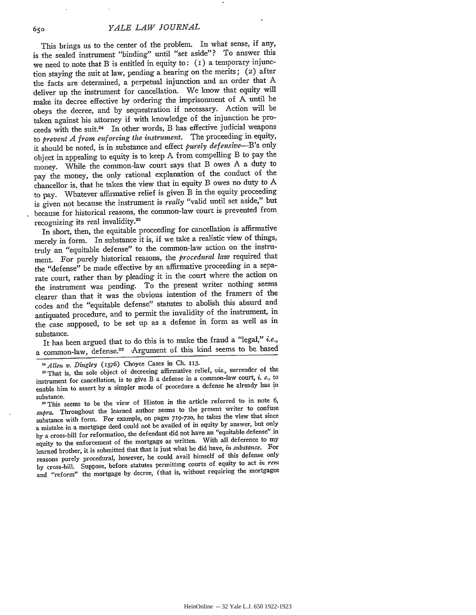This brings us to the center of the problem. In what sense, if any, is the sealed instrument "binding" until "set aside"? To answer this we need to note that B is entitled in equity to: (i) a temporary injunction staying the suit at law, pending a hearing on the merits; (2) after the facts are determined, a perpetual injunction and an order that A deliver up the instrument for cancellation. We know that equity will make its decree effective by ordering the imprisonment of **A** until he obeys the decree, and by sequestration if necessary. Action will be taken against his attorney if with knowledge of the injunction he proceeds with the suit.<sup>24</sup> In other words, B has effective judicial weapons to *prevent A from enforcing the instrument.* The proceeding in equity, it should be noted, is in substance and effect *purely defensive-B's* only object in appealing to equity is to keep A from compelling B to pay the money. While the common-law court says that B owes A a duty to pay the money, the only rational explanation of the conduct of the chancellor is, that he takes the view that in equity B owes no duty to A to pay. Whatever affirmative relief is given B in the equity proceeding is given not because the instrument is *really* "valid until set aside," but because for historical reasons, the common-law court is prevented from recognizing its real invalidity.25

In short, then, the equitable proceeding for cancellation is affirmative merely in form. In substance it is, if we take a realistic view of things, truly an "equitable defense" to the common-law action on the instrument. For purely historical reasons, the *procedural law* required that the "defense" be made effective by an affirmative proceeding in a separate court, rather than **by** pleading it in the court where the action on the instrument was pending. To the present writer nothing seems clearer than that it was the obvious intention of the framers of the codes and the "equitable defense" statutes to abolish this absurd and antiquated procedure, and to permit the invalidity of the instrument, in the case supposed, to be set up as a defense in form as well as in substance.

It has been argued that to do this is to make the fraud a "legal," *i.e.,* a common-law, defense.<sup>26</sup> Argument of this kind seems to be based

That is, the sole object of decreeing affirmative relief, *via.,* surrender of the instrument for cancellation, is to give B a defense in a common-law court, i. *e.,* to enable him to assert by a simpler mode of procedure a defense he already has in substance.

<sup>26</sup> This seems to be the view of Hinton in the article referred to in note 6, supra. Throughout the learned author seems to the present writer to confuse substance with form. For example, on pages 719-72o, he takes the view that since a mistake in a mortgage deed could not be availed of in equity by answer, but only by a cross-bill for reformation, the defendant did not have an "equitable defense" in equity to the enforcement of the mortgage as written. With all deference to my learned brother, it is submitted that that is just what he did have, *in substance.* For reasons purely procedural, however, he could avail himself of this defense only by cross-bill. Suppose, before statutes permitting courts of equity to act *in rein* and "reform" the mortgage by decree, (that is, without requiring the mortgagee

*<sup>21</sup>Allen v. Dingley* (1576) Choyce Cases in **Ch.** 113.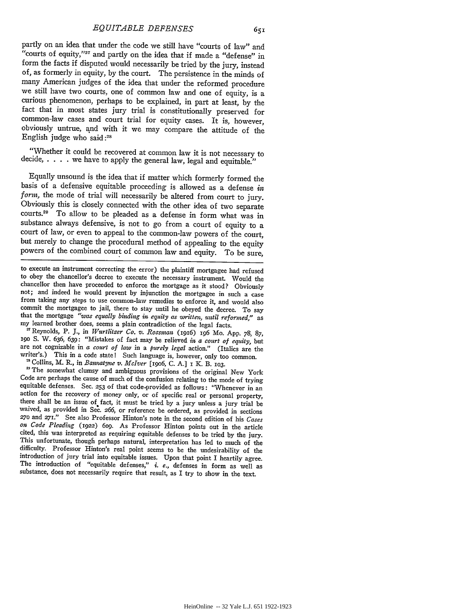*EQUITABLE DEFENSES*

partly on an idea that under the code we still have "courts of law" and "courts of equity, '27 and partly on the idea that if made a "defense" in form the facts if disputed would necessarily be tried by the jury, instead of, as formerly in equity, by the court. The persistence in the minds of many American judges of the idea that under the reformed procedure we still have two courts, one of common law and one of equity, is a curious phenomenon, perhaps to be explained, in part at least, by the fact that in most states jury trial is constitutionally preserved for common-law cases and court trial for equity cases. It is, however, obviously untrue, and with it we may compare the attitude of the English judge who said **:28**

"Whether it could be recovered at common law it is not necessary to decide, **. . . .** we have to apply the general law, legal and equitable."

Equally unsound is the idea that if matter which formerly formed the basis of a defensive equitable proceeding is allowed as a defense  $in$  *form*, the mode of trial will necessarily be altered from court to jury. Obviously this is closely connected with the other idea of two separate courts.<sup>20</sup> To allow to be pleaded as a defense in form what was in substance always defensive, is not to go from a court of equity to a court of law, or even to appeal to the common-law powers of the court, but merely to change the procedural method of appealing to the equity powers of the combined court of common law and equity. To be sure,

to execute an instrument correcting the error) the plaintiff mortgagee had refused to obey the chancellor's decree to execute the necessary instrument. Would the chancellor then have proceeded to enforce the mortgage as it stood? Obviously not; and indeed he would prevent by injunction the mortgagee in such a case from taking any steps to use common-law remedies to enforce it, and would also commit the mortgagee to jail, there to stay until he obeyed the decree. To say that the mortgage "was equally binding in equity as written, until reformed," as my learned brother does, seems a plain contradiction of the legal facts.

=Reynolds, P. *J.,* in *Wurtlitzer Co. v. Rossnan* (1916) *x96* Mo. App. **78, 87, 19o S.** W. 636, *639:* "Mistakes of fact may be relieved *in a court of equity,* but are not cognizable in *a court of law* in a *purely legdI* action." (Italics are the writer's.) This in a code state! Such language is, however, only too common. <sup>23</sup> Collins, M. R., in *Bannatyne v. McIver* [1906, C. A.] **1** K. B. **103.** 

<sup>29</sup> The somewhat clumsy and ambiguous provisions of the original New York Code are perhaps the cause of much of the confusion relating to the mode of trying equitable defenses. Sec. 253 of that code-provided as follows: "Whenever in an action for the recovery of money only, or of specific real or personal property, there shall be an issue of fact, it must be tried by a jury un waived, as provided in Sec. *266,* or reference be ordered, as provided in sections *27o* and 271." See also Professor Hinton's note in the second edition of his *Cases on Code Pleading* (1922) 6og. As Professor Hinton points out in the article cited, this was interpreted as requiring equitable defenses to be tried by the jury. This unfortunate, though perhaps natural, interpretation has led to much of the difficulty. Professor Hinton's real point seems to be the undesirability of the introduction of jury trial into equitable issues. Upon that point I heartily agree. The introduction of "equitable defenses," *i. e.*, defenses in form as well as substance, does not necessarily require that result, as I try to show in the text.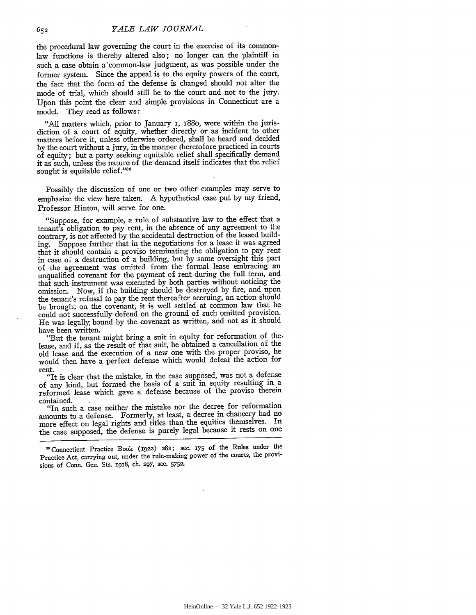the procedural law governing the court in the exercise of its commonlaw functions is thereby altered also; no longer can the plaintiff in such a case obtain a'common-law judgment, as was possible under the former system. Since the appeal is to the equity powers of the court, the fact that the form of the defense is changed should not alter the mode of trial, which should still be to the court and not to the jury. Upon this point the clear and simple provisions in Connecticut are a model. They read as follows:

**"All** matters which, prior to January **I,** 188o, were within the jurisdiction of a court of equity, whether directly or as incident to other matters before it, unless otherwise ordered, shall be heard and decided by the court without a jury, in the manner theretofore practiced in courts of equity; but a party seeking equitable relief shall specifically demand it as such, unless the nature of the demand itself indicates that the relief sought is equitable relief."30

Possibly the discussion of one or two other examples may serve to emphasize the view here taken. A hypothetical case put by my friend, Professor Hinton, will serve for one.

"Suppose, for example, a rule of substantive law to the effect that a tenant's obligation to pay rent, in the absence of any agreement to the contrary, is not affected by the accidental destruction of the leased building. Suppose further that in the negotiations for a lease it was agreed that it should contain a proviso terminating the obligation to pay rent in case of a destruction of a building, but by some oversight this part of the agreement was omitted from the formal lease embracing an unqualified covenant for the payment of rent during the full term, and that such instrument was executed by both parties without noticing the omission. Now, if the building should be destroyed by fire, and upon the tenant's refusal to pay the rent thereafter accruing, an action should be brought on the covenant, it is well settled at common law that he could not successfully defend on the ground of such omitted provision. He was legally, bound by the covenant as written, and not as it should have been written.

"But the tenant might bring a suit in equity for reformation of the. lease, and if, as the result of that suit, he obtained a cancellation of the old lease and the execution of a new one with the proper proviso, he would then have a perfect defense which would defeat the action for rent.

"It is clear that the mistake, in the case supposed, was not a defense of any kind, but formed the basis of a suit in equity resulting in a reformed lease which gave a defense because of the proviso therein contained.

"In such a case neither the mistake nor the decree for reformation amounts to a defense. Formerly, at least, a decree in chancery had no more effect on legal rights and titles than the equities themselves. In the case supposed, the defense is purely legal because it rests on one

"Connecticut Practice Book (1922) **282;** sec. **175** of the Rules under the Practice Act, carrying out, under the rule-making power of the courts, the provisions of Conn. Gen. Sts. igiS, ch. **297,** sec. **5752.**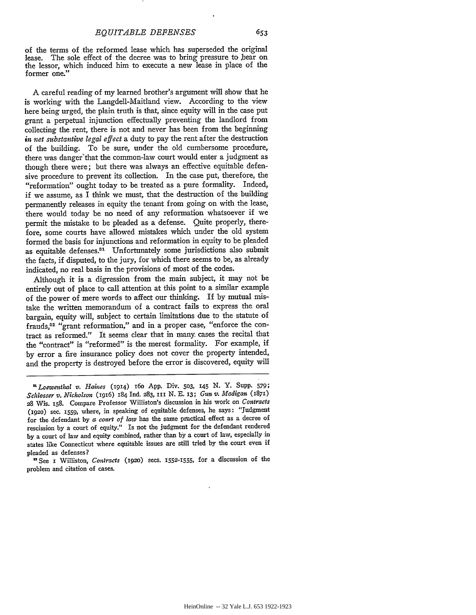of the terms of the reformed lease which has superseded the original lease. The sole effect of the decree was to bring pressure to .bear on the lessor, which induced him to execute a new lease in place of the former one."

A careful reading of my learned brother's argument will show that he is working with the Langdell-Maitland view. According to the view here being urged, the plain truth is that, since equity will in the case put grant a perpetual injunction effectually preventing the landlord from collecting the rent, there is not and never has been from the beginning *in net substantive legal effect* a duty to pay the rent after the destruction of the building. To be sure, under the old cumbersome procedure, there was danger'that the common-law court would enter a judgment as though there were; but there was always an effective equitable defensive procedure to prevent its collection. In the case put, therefore, the "reformation" ought today to be treated as a pure formality. Indeed, if we assume, as I think we must, that the destruction of the building permanently releases in equity the tenant from going on with the lease, there would today be no need of any reformation whatsoever if we permit the mistake to be pleaded as a defense. Quite properly, therefore, some courts have allowed mistakes which under the old system formed the basis for injunctions and reformation in equity to be pleaded as equitable defenses.<sup>31</sup> Unfortunately some jurisdictions also submit the facts, if disputed, to the jury, for which there seems to be, as already indicated, no real basis in the provisions of most of the codes.

Although it is a digression from the main subject, it may not be entirely out of place to call attention at this point to a similar example of the power of mere words to affect our thinking. If by mutual mistake the written memorandum of a contract fails to express the oral bargain, equity will, subject to certain limitations due to the statute of frauds,<sup>32</sup> "grant reformation," and in a proper case, "enforce the contract as reformed." It seems clear that in many. cases the recital that the "contract" is "reformed" is the merest formality. For example, if by error a fire insurance policy does not cover the property intended, and the property is destroyed before the error is discovered, equity will

*<sup>&#</sup>x27;Loewenthal v. Haiiws* (94) i6o **App.** Div. 5o3, 145 **N.** Y. Supp. **579;** *Schlosser v. Niclwlson* (1916) 184 Ind. 283, 111 **N. E.** 13; *Gun v. Madigan* (1871) **<sup>28</sup>**Wis. i58. Compare Professor Williston's discussion in his work on *Contracts* (1920) sec. **1559,** where, in speaking of equitable defenses, he says: "Judgment for the defendant by *a court of law* has the same practical effect as a decree of rescission **by** a court of equity." Is not the judgment for the defendant rendered by a court of law and equity combined, rather than **by** a court of law, especially in states like Connecticut where equitable issues are still tried by the court even if pleaded as defenses?

<sup>\*&#</sup>x27; See **i** Williston, *Contracts (i92o)* secs. 1552-1555, for a discussion of the problem and citation of cases.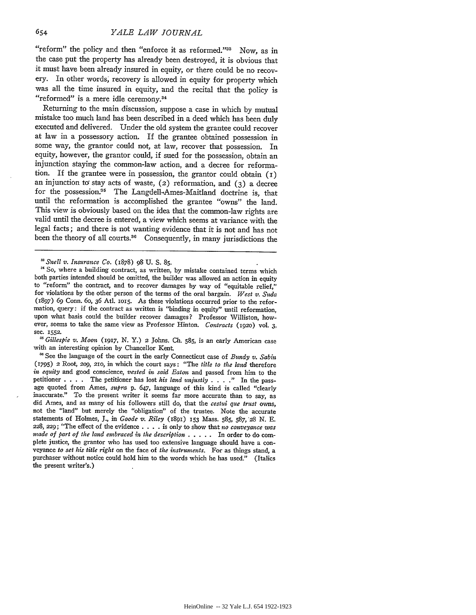"reform" the policy and then "enforce it as reformed."<sup>33</sup> Now, as in the case put the property has already been destroyed, it is obvious that it must have been already insured in equity, or there could be no recovery. In other words, recovery is allowed in equity **for** property which was all the time insured in equity, and the recital that the policy is "reformed" is a mere idle ceremony.<sup>34</sup>

Returning to the main discussion, suppose a case in which by mutual mistake too much land has been described in a deed which has been duly executed and delivered. Under the old system the grantee could recover at law in a possessory action. If the grantee obtained possession in some way, the grantor could not, at law, recover that possession. In equity, however, the grantor could, if sued for the possession, obtain an injunction staying the common-law action, and a decree for reformation. If the grantee were in possession, the grantor could obtain  $(1)$ an injunction to stay acts of waste, (2) reformation, and **(3)** a decree for the possession.<sup>35</sup> The Langdell-Ames-Maitland doctrine is, that until the reformation is accomplished the grantee "owns" the land. This view is obviously based on the idea that the common-law rights are valid until the decree is entered, a view which seems at variance with the legal facts; and there is not wanting evidence that it is not and has not been the theory of all courts.<sup>36</sup> Consequently, in many jurisdictions the

<sup>34</sup> So, where a building contract, as written, by mistake contained terms which both parties intended should be omitted, the builder was allowed an action in equity to "reform" the contract, and to recover damages by way of "equitable relief," for violations by the other person of the terms of the oral bargain. *West v. Suda* (1897) 69 Conn. **6o,** 36 Atl. 1O15. As these violations occurred prior to the reformation, query: if the contract as written is "binding in equity" until reformation, upon what basis could the builder recover damages? Professor Williston, however, seems to take the same view as Professor Hinton. *Contracts* (1920) vol. 3, sec. **1552.**

*Gillespie v. Moon* **(917, N.** Y.) 2 Johns. **Ch.** 585, is an early American case with an interesting opinion by Chancellor Kent.

See the language of the court in the early Connecticut case of *Bundy v. Sabin* (1795) 2 Root, **209,** 210, in which the court says: "The *title to the land* therefore in *equity* and good conscience, *vested in said Eaton* and passed from him to the petitioner . **. .** . The petitioner has lost *his* land *unjustly .* **.** . **."** In the passage quoted from Ames, *supra* **p.** 647, language of this kind is called "clearly inaccurate." To the present writer it seems far more accurate than to say, as did Ames, and as many of his followers still do, that the *cestui* que *trust* owns, not the "land" but merely the "obligation" of the trustee. Note the accurate statements of Holmes, J., in *Goode v. Riley* (1891) 153 Mass. 585, 587, 28 N. E.<br>228, 229; "The effect of the evidence . . . . is only to show that *no conveyance was* made of part of the land embraced in the description  $\dots$ . In order to do complete justice, the grantor who has used too extensive language should have a conveyance to set his title right on the face of the instruments. F the present writer's.)

*Sitell v. Iisurance Co.* (1878) 98 U. S. **85.**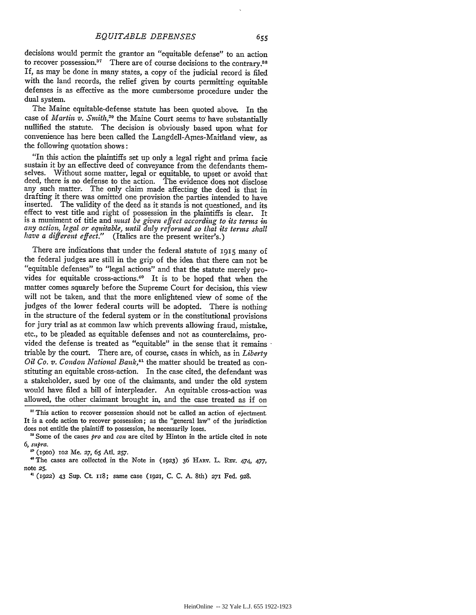decisions would permit the grantor an "equitable defense" to an action to recover possession. $37$  There are of course decisions to the contrary. $38$ If, as may be done in many states, a copy of the judicial record is filed with the land records, the relief given by courts permitting equitable defenses is as effective as the more cumbersome procedure under the dual system.

The Maine equitable-defense statute has been quoted above. In the case of *Martin v. Smith,"9* the Maine Court seems to have substantially nullified the statute. The decision is obviously based upon what for convenience has here been called the Langdell-Ames-Maitland view, as the following quotation shows:

"In this action the plaintiffs set up only a legal right and prima facie sustain it by an effective deed of conveyance from the defendants themselves. Without some matter, legal or equitable, to upset or avoid that deed, there is no defense to the action. The evidence does not disclose any such matter. The only claim made affecting the deed is that in drafting it there was omitted one provision the parties intended to have inserted. The validity of the deed as it stands is not questioned, and its effect to vest title and right of possession in the plaintiffs is clear. It is a muniment of titie and *must be given effect according to its terms in any action, legal or equitable, until duly reformed so that its terms shall have a different effect."* (Italics are the present writer's.)

There are indications that under the federal statute of 1915 many of the federal judges are still in the grip of the idea that there can not be "equitable defenses" to "legal actions" and that the statute merely provides for equitable cross-actions.<sup>40</sup> It is to be hoped that when the matter comes squarely before the Supreme Court for decision, this view will not be taken, and that the more enlightened view of some of the judges of the lower federal courts will be adopted. There is nothing in the structure of the federal system or in the constitutional provisions for jury trial as at common law which prevents allowing fraud, mistake, etc., to be pleaded as equitable defenses and not as counterclaims, provided the defense is treated as "equitable" in the sense that it remains triable **by** the court. There are, of course, cases in which, as in *Liberty Oil Co. v. Condon National Bank,"'* the matter should be treated as constituting an equitable cross-action. In the case cited, the defendant was a stakeholder, sued by one of the claimants, and under the old system would have filed a bill of interpleader. An equitable cross-action was allowed, the other claimant brought in, and the case treated as if on

<sup>37</sup> This action to recover possession should not be called an action of ejectment It is a code action to recover possession; as the "general law" of the jurisdiction does not entitle the plaintiff to possession, he necessarily loses.

<sup>38</sup> Some of the cases *pro* and *con* are cited by Hinton in the article cited in note *6, supra.*

(19oo) *102* Me. *27,* **65** Atl. *257.*

The cases are collected in the Note in **(1923)** 36 HARv. L. **REv.** 474, 477, note **25.**

**'(1922)** 43 Sup. Ct 118; same case **(I92I,** C. C. A. 8th) 271 Fed. **928.**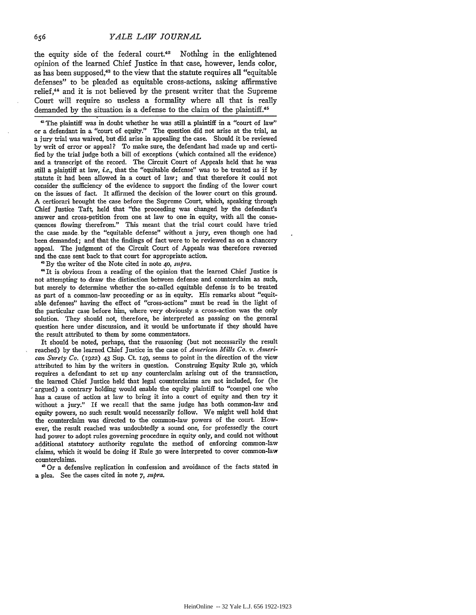the equity side of the federal court.<sup>42</sup> Nothing in the enlightened opinion of the learned Chief Justice in that case, however, lends color, as has been supposed,<sup>43</sup> to the view that the statute requires all "equitable defenses" to be pleaded as equitable cross-actions, asking affirmative relief,44 and it is not believed by the present writer that the Supreme Court will require so useless a formality where all that is really demanded by the situation is a defense to the claim of the plaintiff.<sup>45</sup>

'The plaintiff was in doubt whether he was still a plaintiff in a "court of law" or a defendant in a "court of equity." The question did not arise at the trial, as a jury trial was waived, but did arise in appealing the case. Should it be reviewed by writ of error or appeal? To make sure, the defendant had made up and certified by the trial judge both a bill of exceptions (which contained all the evidence) and a transcript of the record. The Circuit Court of Appeals held that he was still a plaintiff at law, *i.e.,* that the "equitable defense" was to be treated as if by statute it had been allowed in a court of law; and that therefore it could not consider the sufficiency of the evidence to support the finding of the lower court on the issues of fact. It affirmed the decision of the lower court on this ground. A certiorari brought the case before the Supreme Court, which, speaking through Chief Justice Taft, held that "the proceeding was changed by the defendant's answer and cross-petition from one at law to one in equity, with all the consequences flowing therefrom." This meant that the trial court could have tried the case made, by the "equitable defense" without a jury, even though one had been demanded; and that the findings of fact were to be reviewed as on a chancery appeal. The judgment of the Circuit Court of Appeals was therefore reversed and the case sent back to that court for appropriate action.

**'By** the writer of the Note cited in note 4o, *supra.*

**"** It is obvious from a reading of the opinion that the learned Chief Justice is not attempting to draw the distinction between defense and counterclaim as such, but merely to determine whether the so-called equitable defense is to be treated as part of a common-law proceeding or as in equity. His remarks about "equitable defenses" having the effect of "cross-actions" must be read in the light of the particular case before him, where very obviously a cross-action was the only solution. They should not, therefore, be interpreted as passing on the general question here under discussion, and it would be unfortunate if they should have the result attributed to them by some commentators.

It should be noted, perhaps, that the reasoning (but not necessarily the result reached) by the learned Chief Justice in the case of *Amnerican Mills Co. v. Anerican Surety* Co. (1922) 43 Sup. Ct **149,** seems to point in the direction of the view attributed to him by the writers in question. Construing Equity Rule **30,** which requires a defendant to set up any counterclaim arising out of the transaction, the learned Chief Justice held that legal counterclaims are not included, for (he argued) a contrary holding would enable the equity plaintiff to "compel one who has a cause of action at law to bring it into a court of equity and then try it without a jury." If we recall that the same judge has both common-law and equity powers, no such result would necessarily follow. We might well hold that the counterclaim was directed to the common-law powers of the court. However, the result reached was undoubtedly a sound one, for professedly the court had power to adopt rules governing procedure in equity only, and could not without additional statutory authority regulate the method of enforcing common-law claims, which it would be doing if Rule 3o were interpreted to cover common-law counterclaims.

"Or a defensive replication in confession and avoidance of the facts stated in a plea. See the cases cited in note 7, *supra.*